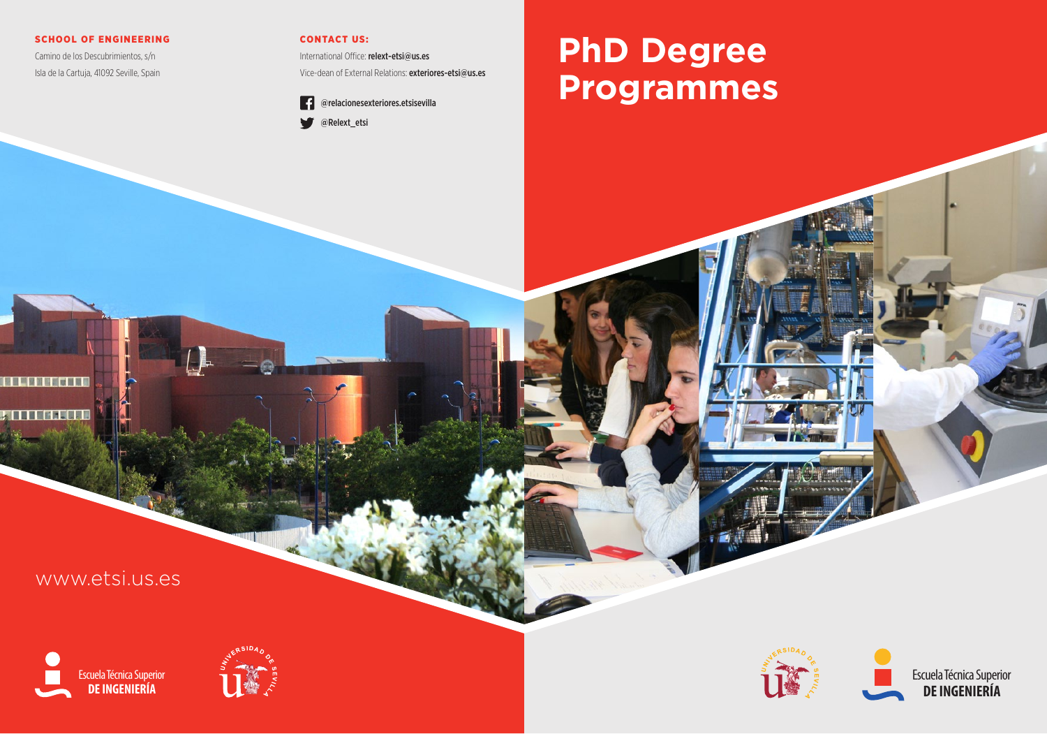#### SCHOOL OF ENGINEERING

Camino de los Descubrimientos, s/n Isla de la Cartuja, 41092 Seville, Spain

#### CONTACT US:

International Office: relext-etsi@us.es Vice-dean of External Relations: exteriores-etsi@us.es



# **PhD Degree Programmes**

# www.etsi.us.es

**A LA TATALLA** 

**SHEER**